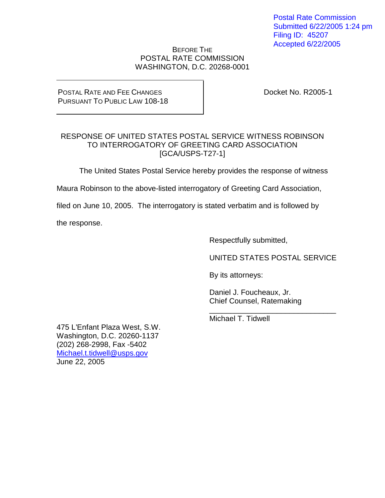Postal Rate Commission Submitted 6/22/2005 1:24 pm Filing ID: 45207 Accepted 6/22/2005

#### BEFORE THE POSTAL RATE COMMISSION WASHINGTON, D.C. 20268-0001

#### POSTAL RATE AND FEE CHANGES PURSUANT TO PUBLIC LAW 108-18

Docket No. R2005-1

#### RESPONSE OF UNITED STATES POSTAL SERVICE WITNESS ROBINSON TO INTERROGATORY OF GREETING CARD ASSOCIATION [GCA/USPS-T27-1]

The United States Postal Service hereby provides the response of witness

Maura Robinson to the above-listed interrogatory of Greeting Card Association,

filed on June 10, 2005. The interrogatory is stated verbatim and is followed by

the response.

Respectfully submitted,

UNITED STATES POSTAL SERVICE

\_\_\_\_\_\_\_\_\_\_\_\_\_\_\_\_\_\_\_\_\_\_\_\_\_\_\_\_\_\_

By its attorneys:

Daniel J. Foucheaux, Jr. Chief Counsel, Ratemaking

Michael T. Tidwell

475 L'Enfant Plaza West, S.W. Washington, D.C. 20260-1137 (202) 268-2998, Fax -5402 Michael.t.tidwell@usps.gov June 22, 2005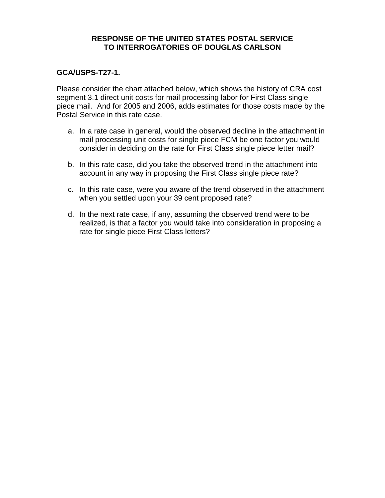#### **RESPONSE OF THE UNITED STATES POSTAL SERVICE TO INTERROGATORIES OF DOUGLAS CARLSON**

#### **GCA/USPS-T27-1.**

Please consider the chart attached below, which shows the history of CRA cost segment 3.1 direct unit costs for mail processing labor for First Class single piece mail. And for 2005 and 2006, adds estimates for those costs made by the Postal Service in this rate case.

- a. In a rate case in general, would the observed decline in the attachment in mail processing unit costs for single piece FCM be one factor you would consider in deciding on the rate for First Class single piece letter mail?
- b. In this rate case, did you take the observed trend in the attachment into account in any way in proposing the First Class single piece rate?
- c. In this rate case, were you aware of the trend observed in the attachment when you settled upon your 39 cent proposed rate?
- d. In the next rate case, if any, assuming the observed trend were to be realized, is that a factor you would take into consideration in proposing a rate for single piece First Class letters?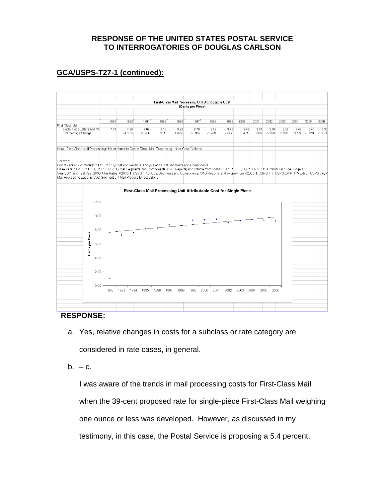### **RESPONSE OF THE UNITED STATES POSTAL SERVICE TO INTERROGATORIES OF DOUGLAS CARLSON**

# **GCA/USPS-T27-1 (continued):**



### **RESPONSE:**

- a. Yes, relative changes in costs for a subclass or rate category are considered in rate cases, in general.
- $b. -c.$

I was aware of the trends in mail processing costs for First-Class Mail when the 39-cent proposed rate for single-piece First-Class Mail weighing one ounce or less was developed. However, as discussed in my testimony, in this case, the Postal Service is proposing a 5.4 percent,